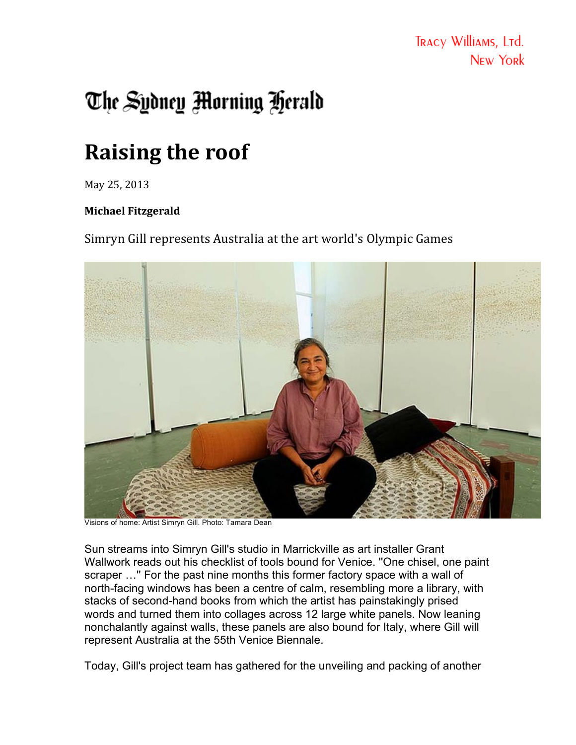## The Sydney Morning Herald

## **Raising the roof**

May 25, 2013

## **Michael Fitzgerald**

Simryn Gill represents Australia at the art world's Olympic Games



Visions of home: Artist Simryn Gill. Photo: Tamara Dean

Sun streams into Simryn Gill's studio in Marrickville as art installer Grant Wallwork reads out his checklist of tools bound for Venice. ''One chisel, one paint scraper …'' For the past nine months this former factory space with a wall of north-facing windows has been a centre of calm, resembling more a library, with stacks of second-hand books from which the artist has painstakingly prised words and turned them into collages across 12 large white panels. Now leaning nonchalantly against walls, these panels are also bound for Italy, where Gill will represent Australia at the 55th Venice Biennale.

Today, Gill's project team has gathered for the unveiling and packing of another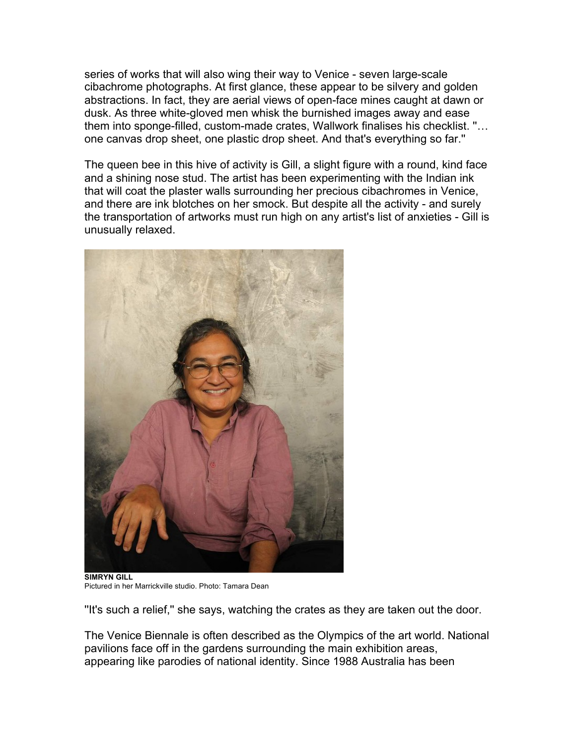series of works that will also wing their way to Venice - seven large-scale cibachrome photographs. At first glance, these appear to be silvery and golden abstractions. In fact, they are aerial views of open-face mines caught at dawn or dusk. As three white-gloved men whisk the burnished images away and ease them into sponge-filled, custom-made crates, Wallwork finalises his checklist. ''… one canvas drop sheet, one plastic drop sheet. And that's everything so far.''

The queen bee in this hive of activity is Gill, a slight figure with a round, kind face and a shining nose stud. The artist has been experimenting with the Indian ink that will coat the plaster walls surrounding her precious cibachromes in Venice, and there are ink blotches on her smock. But despite all the activity - and surely the transportation of artworks must run high on any artist's list of anxieties - Gill is unusually relaxed.



**SIMRYN GILL** Pictured in her Marrickville studio. Photo: Tamara Dean

''It's such a relief,'' she says, watching the crates as they are taken out the door.

The Venice Biennale is often described as the Olympics of the art world. National pavilions face off in the gardens surrounding the main exhibition areas, appearing like parodies of national identity. Since 1988 Australia has been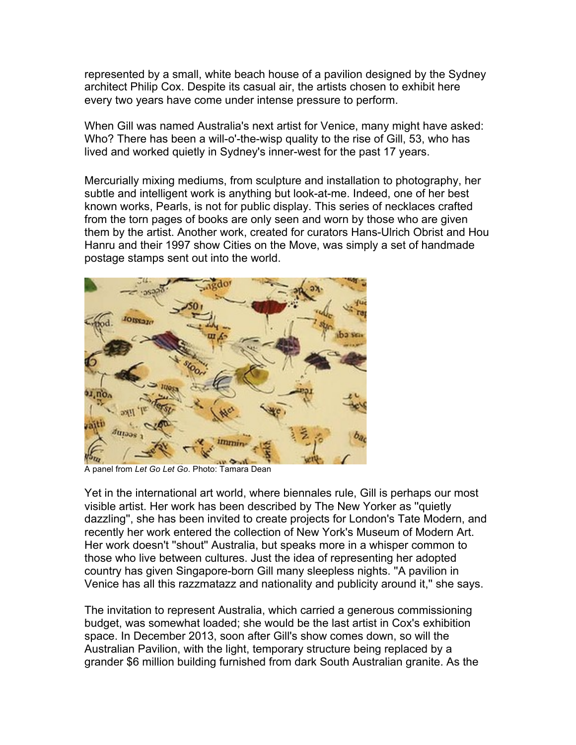represented by a small, white beach house of a pavilion designed by the Sydney architect Philip Cox. Despite its casual air, the artists chosen to exhibit here every two years have come under intense pressure to perform.

When Gill was named Australia's next artist for Venice, many might have asked: Who? There has been a will-o'-the-wisp quality to the rise of Gill, 53, who has lived and worked quietly in Sydney's inner-west for the past 17 years.

Mercurially mixing mediums, from sculpture and installation to photography, her subtle and intelligent work is anything but look-at-me. Indeed, one of her best known works, Pearls, is not for public display. This series of necklaces crafted from the torn pages of books are only seen and worn by those who are given them by the artist. Another work, created for curators Hans-Ulrich Obrist and Hou Hanru and their 1997 show Cities on the Move, was simply a set of handmade postage stamps sent out into the world.



A panel from *Let Go Let Go*. Photo: Tamara Dean

Yet in the international art world, where biennales rule, Gill is perhaps our most visible artist. Her work has been described by The New Yorker as ''quietly dazzling'', she has been invited to create projects for London's Tate Modern, and recently her work entered the collection of New York's Museum of Modern Art. Her work doesn't ''shout'' Australia, but speaks more in a whisper common to those who live between cultures. Just the idea of representing her adopted country has given Singapore-born Gill many sleepless nights. ''A pavilion in Venice has all this razzmatazz and nationality and publicity around it,'' she says.

The invitation to represent Australia, which carried a generous commissioning budget, was somewhat loaded; she would be the last artist in Cox's exhibition space. In December 2013, soon after Gill's show comes down, so will the Australian Pavilion, with the light, temporary structure being replaced by a grander \$6 million building furnished from dark South Australian granite. As the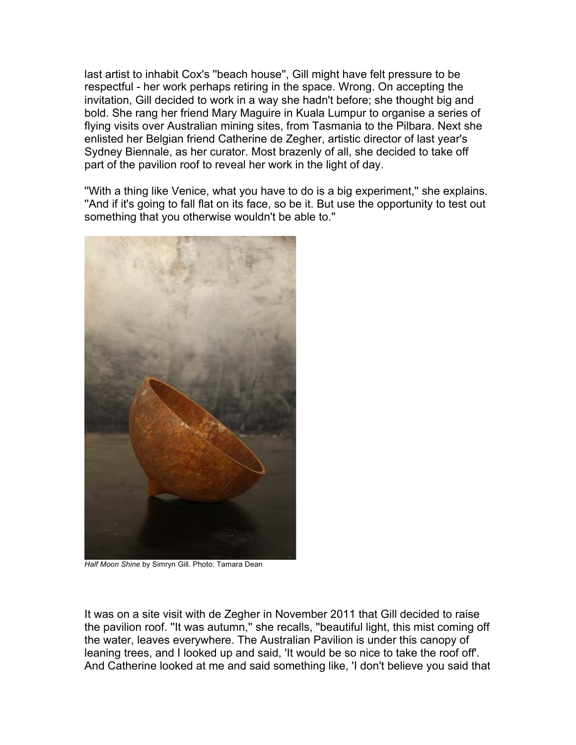last artist to inhabit Cox's ''beach house'', Gill might have felt pressure to be respectful - her work perhaps retiring in the space. Wrong. On accepting the invitation, Gill decided to work in a way she hadn't before; she thought big and bold. She rang her friend Mary Maguire in Kuala Lumpur to organise a series of flying visits over Australian mining sites, from Tasmania to the Pilbara. Next she enlisted her Belgian friend Catherine de Zegher, artistic director of last year's Sydney Biennale, as her curator. Most brazenly of all, she decided to take off part of the pavilion roof to reveal her work in the light of day.

''With a thing like Venice, what you have to do is a big experiment,'' she explains. ''And if it's going to fall flat on its face, so be it. But use the opportunity to test out something that you otherwise wouldn't be able to.''



*Half Moon Shine* by Simryn Gill. Photo: Tamara Dean

It was on a site visit with de Zegher in November 2011 that Gill decided to raise the pavilion roof. ''It was autumn,'' she recalls, ''beautiful light, this mist coming off the water, leaves everywhere. The Australian Pavilion is under this canopy of leaning trees, and I looked up and said, 'It would be so nice to take the roof off'. And Catherine looked at me and said something like, 'I don't believe you said that